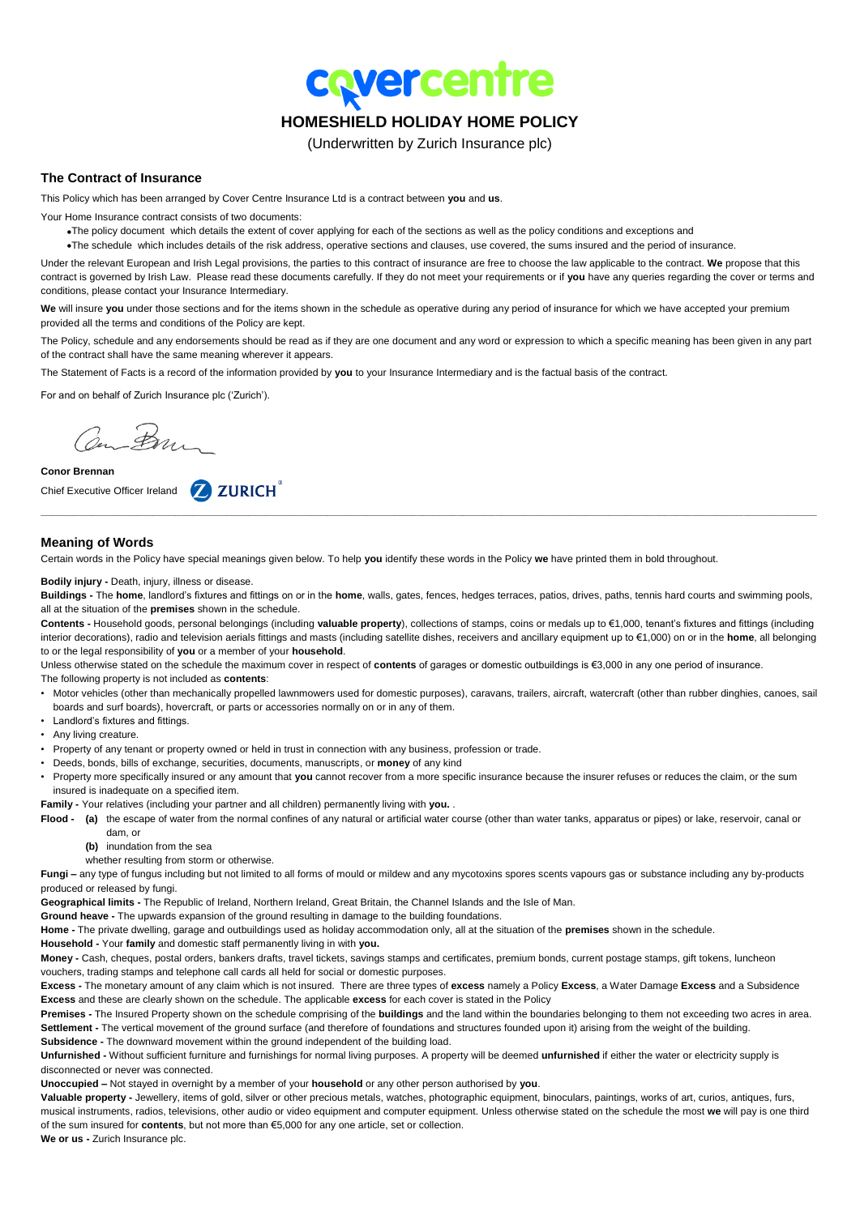**covercentre** 

# **HOMESHIELD HOLIDAY HOME POLICY**

(Underwritten by Zurich Insurance plc)

# **The Contract of Insurance**

This Policy which has been arranged by Cover Centre Insurance Ltd is a contract between **you** and **us**.

Your Home Insurance contract consists of two documents:

- The policy document which details the extent of cover applying for each of the sections as well as the policy conditions and exceptions and
- The schedule which includes details of the risk address, operative sections and clauses, use covered, the sums insured and the period of insurance.

Under the relevant European and Irish Legal provisions, the parties to this contract of insurance are free to choose the law applicable to the contract. **We** propose that this contract is governed by Irish Law. Please read these documents carefully. If they do not meet your requirements or if **you** have any queries regarding the cover or terms and conditions, please contact your Insurance Intermediary.

**We** will insure **you** under those sections and for the items shown in the schedule as operative during any period of insurance for which we have accepted your premium provided all the terms and conditions of the Policy are kept.

The Policy, schedule and any endorsements should be read as if they are one document and any word or expression to which a specific meaning has been given in any part of the contract shall have the same meaning wherever it appears.

The Statement of Facts is a record of the information provided by **you** to your Insurance Intermediary and is the factual basis of the contract.

For and on behalf of Zurich Insurance plc ('Zurich').

Con Bon

**Conor Brennan**

Chief Executive Officer Ireland 2 ZURICH<sup>®</sup>

# **Meaning of Words**

Certain words in the Policy have special meanings given below. To help **you** identify these words in the Policy **we** have printed them in bold throughout.

### **Bodily injury -** Death, injury, illness or disease.

**Buildings -** The **home**, landlord's fixtures and fittings on or in the **home**, walls, gates, fences, hedges terraces, patios, drives, paths, tennis hard courts and swimming pools, all at the situation of the **premises** shown in the schedule.

**\_\_\_\_\_\_\_\_\_\_\_\_\_\_\_\_\_\_\_\_\_\_\_\_\_\_\_\_\_\_\_\_\_\_\_\_\_\_\_\_\_\_\_\_\_\_\_\_\_\_\_\_\_\_\_\_\_\_\_\_\_\_\_\_\_\_\_\_\_\_\_\_\_\_\_\_\_\_\_\_\_\_\_\_\_\_\_\_\_\_\_\_\_\_\_\_\_\_\_\_\_\_\_\_\_\_\_\_\_\_\_\_\_\_\_\_\_\_\_\_\_\_\_\_\_\_\_\_\_\_\_\_\_\_\_\_\_\_**

**Contents -** Household goods, personal belongings (including **valuable property**), collections of stamps, coins or medals up to €1,000, tenant's fixtures and fittings (including interior decorations), radio and television aerials fittings and masts (including satellite dishes, receivers and ancillary equipment up to €1,000) on or in the **home**, all belonging to or the legal responsibility of **you** or a member of your **household**.

Unless otherwise stated on the schedule the maximum cover in respect of **contents** of garages or domestic outbuildings is €3,000 in any one period of insurance.

- The following property is not included as **contents**:
- Motor vehicles (other than mechanically propelled lawnmowers used for domestic purposes), caravans, trailers, aircraft, watercraft (other than rubber dinghies, canoes, sail boards and surf boards), hovercraft, or parts or accessories normally on or in any of them.
- Landlord's fixtures and fittings.
- Any living creature.
- Property of any tenant or property owned or held in trust in connection with any business, profession or trade.
- Deeds, bonds, bills of exchange, securities, documents, manuscripts, or **money** of any kind
- Property more specifically insured or any amount that **you** cannot recover from a more specific insurance because the insurer refuses or reduces the claim, or the sum insured is inadequate on a specified item.
- **Family -** Your relatives (including your partner and all children) permanently living with **you.** .

**Flood - (a)** the escape of water from the normal confines of any natural or artificial water course (other than water tanks, apparatus or pipes) or lake, reservoir, canal or dam, or

- **(b)** inundation from the sea
- whether resulting from storm or otherwise.

**Fungi –** any type of fungus including but not limited to all forms of mould or mildew and any mycotoxins spores scents vapours gas or substance including any by-products produced or released by fungi.

**Geographical limits -** The Republic of Ireland, Northern Ireland, Great Britain, the Channel Islands and the Isle of Man.

**Ground heave -** The upwards expansion of the ground resulting in damage to the building foundations.

**Home -** The private dwelling, garage and outbuildings used as holiday accommodation only, all at the situation of the **premises** shown in the schedule.

**Household -** Your **family** and domestic staff permanently living in with **you.**

**Money -** Cash, cheques, postal orders, bankers drafts, travel tickets, savings stamps and certificates, premium bonds, current postage stamps, gift tokens, luncheon vouchers, trading stamps and telephone call cards all held for social or domestic purposes.

**Excess -** The monetary amount of any claim which is not insured. There are three types of **excess** namely a Policy **Excess**, a Water Damage **Excess** and a Subsidence **Excess** and these are clearly shown on the schedule. The applicable **excess** for each cover is stated in the Policy

**Premises -** The Insured Property shown on the schedule comprising of the **buildings** and the land within the boundaries belonging to them not exceeding two acres in area. Settlement - The vertical movement of the ground surface (and therefore of foundations and structures founded upon it) arising from the weight of the building. **Subsidence -** The downward movement within the ground independent of the building load.

**Unfurnished -** Without sufficient furniture and furnishings for normal living purposes. A property will be deemed **unfurnished** if either the water or electricity supply is disconnected or never was connected.

**Unoccupied –** Not stayed in overnight by a member of your **household** or any other person authorised by **you**.

**Valuable property -** Jewellery, items of gold, silver or other precious metals, watches, photographic equipment, binoculars, paintings, works of art, curios, antiques, furs, musical instruments, radios, televisions, other audio or video equipment and computer equipment. Unless otherwise stated on the schedule the most **we** will pay is one third of the sum insured for **contents**, but not more than €5,000 for any one article, set or collection.

**We or us -** Zurich Insurance plc.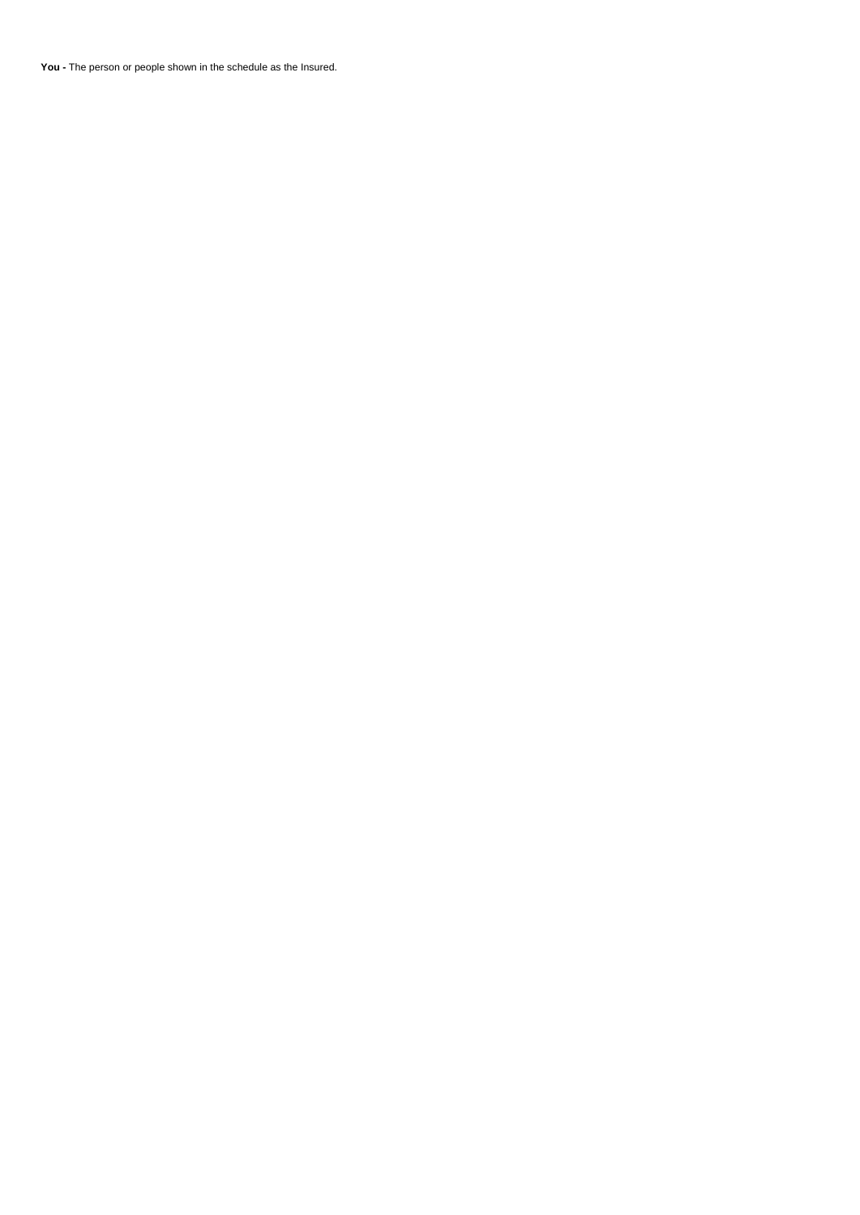**You -** The person or people shown in the schedule as the Insured.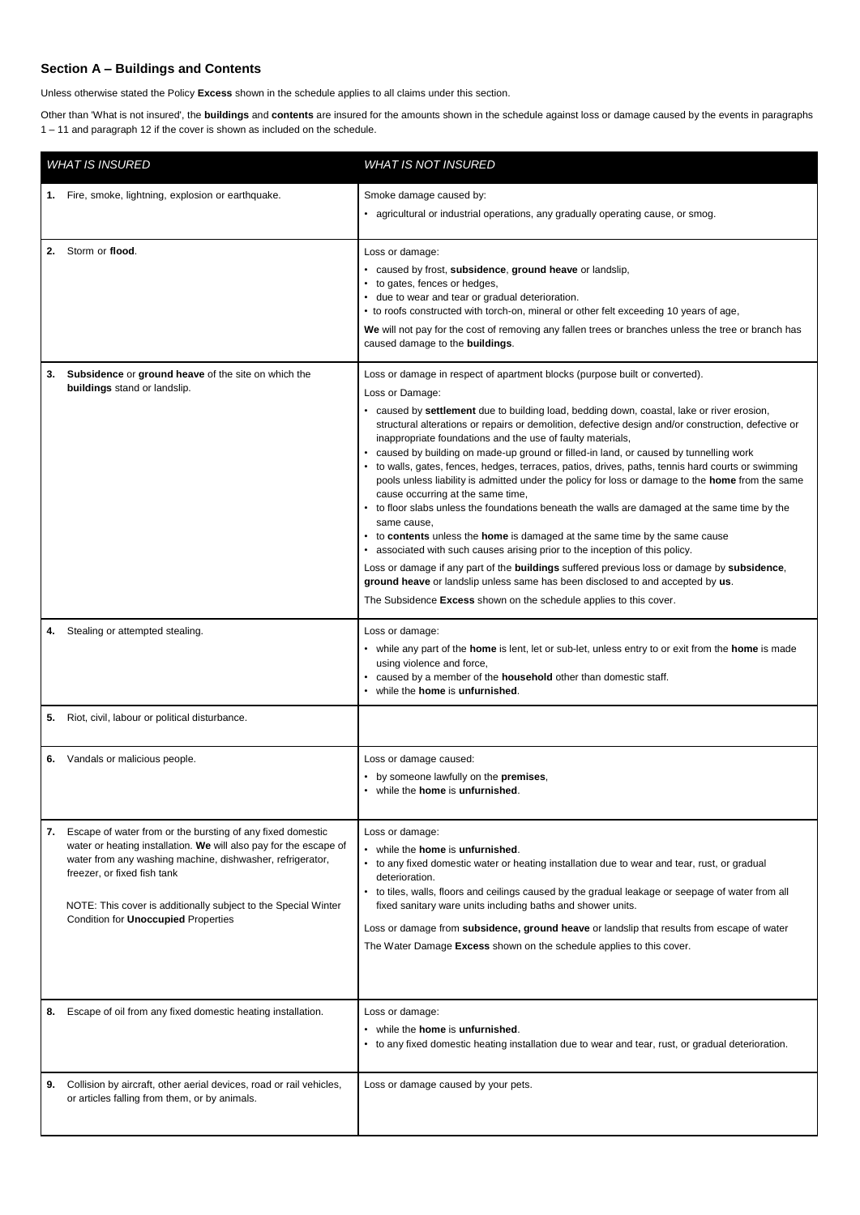# **Section A – Buildings and Contents**

Unless otherwise stated the Policy **Excess** shown in the schedule applies to all claims under this section.

Other than 'What is not insured', the **buildings** and **contents** are insured for the amounts shown in the schedule against loss or damage caused by the events in paragraphs 1 – 11 and paragraph 12 if the cover is shown as included on the schedule.

| <b>WHAT IS INSURED</b> |                                                                                                                                                                                                                                                                                                                                             | <b>WHAT IS NOT INSURED</b>                                                                                                                                                                                                                                                                                                                                                                                                                                                                                                                                                                                                                                                                                                                                                                                                                                                                                                                                                                                                                                                                                                                                                                                                                    |
|------------------------|---------------------------------------------------------------------------------------------------------------------------------------------------------------------------------------------------------------------------------------------------------------------------------------------------------------------------------------------|-----------------------------------------------------------------------------------------------------------------------------------------------------------------------------------------------------------------------------------------------------------------------------------------------------------------------------------------------------------------------------------------------------------------------------------------------------------------------------------------------------------------------------------------------------------------------------------------------------------------------------------------------------------------------------------------------------------------------------------------------------------------------------------------------------------------------------------------------------------------------------------------------------------------------------------------------------------------------------------------------------------------------------------------------------------------------------------------------------------------------------------------------------------------------------------------------------------------------------------------------|
|                        | 1. Fire, smoke, lightning, explosion or earthquake.                                                                                                                                                                                                                                                                                         | Smoke damage caused by:<br>• agricultural or industrial operations, any gradually operating cause, or smog.                                                                                                                                                                                                                                                                                                                                                                                                                                                                                                                                                                                                                                                                                                                                                                                                                                                                                                                                                                                                                                                                                                                                   |
|                        | 2. Storm or flood.                                                                                                                                                                                                                                                                                                                          | Loss or damage:<br>• caused by frost, subsidence, ground heave or landslip,<br>to gates, fences or hedges,<br>• due to wear and tear or gradual deterioration.<br>• to roofs constructed with torch-on, mineral or other felt exceeding 10 years of age,<br>We will not pay for the cost of removing any fallen trees or branches unless the tree or branch has<br>caused damage to the buildings.                                                                                                                                                                                                                                                                                                                                                                                                                                                                                                                                                                                                                                                                                                                                                                                                                                            |
| 3.                     | Subsidence or ground heave of the site on which the<br>buildings stand or landslip.                                                                                                                                                                                                                                                         | Loss or damage in respect of apartment blocks (purpose built or converted).<br>Loss or Damage:<br>• caused by settlement due to building load, bedding down, coastal, lake or river erosion,<br>structural alterations or repairs or demolition, defective design and/or construction, defective or<br>inappropriate foundations and the use of faulty materials,<br>caused by building on made-up ground or filled-in land, or caused by tunnelling work<br>to walls, gates, fences, hedges, terraces, patios, drives, paths, tennis hard courts or swimming<br>pools unless liability is admitted under the policy for loss or damage to the <b>home</b> from the same<br>cause occurring at the same time,<br>to floor slabs unless the foundations beneath the walls are damaged at the same time by the<br>same cause,<br>to contents unless the home is damaged at the same time by the same cause<br>associated with such causes arising prior to the inception of this policy.<br>Loss or damage if any part of the buildings suffered previous loss or damage by subsidence,<br>ground heave or landslip unless same has been disclosed to and accepted by us.<br>The Subsidence Excess shown on the schedule applies to this cover. |
| 4.                     | Stealing or attempted stealing.                                                                                                                                                                                                                                                                                                             | Loss or damage:<br>while any part of the <b>home</b> is lent, let or sub-let, unless entry to or exit from the <b>home</b> is made<br>using violence and force,<br>caused by a member of the <b>household</b> other than domestic staff.<br>while the home is unfurnished.                                                                                                                                                                                                                                                                                                                                                                                                                                                                                                                                                                                                                                                                                                                                                                                                                                                                                                                                                                    |
|                        | 5. Riot, civil, labour or political disturbance.                                                                                                                                                                                                                                                                                            |                                                                                                                                                                                                                                                                                                                                                                                                                                                                                                                                                                                                                                                                                                                                                                                                                                                                                                                                                                                                                                                                                                                                                                                                                                               |
| 6.                     | Vandals or malicious people.                                                                                                                                                                                                                                                                                                                | Loss or damage caused:<br>by someone lawfully on the premises,<br>while the home is unfurnished.                                                                                                                                                                                                                                                                                                                                                                                                                                                                                                                                                                                                                                                                                                                                                                                                                                                                                                                                                                                                                                                                                                                                              |
| 7.                     | Escape of water from or the bursting of any fixed domestic<br>water or heating installation. We will also pay for the escape of<br>water from any washing machine, dishwasher, refrigerator,<br>freezer, or fixed fish tank<br>NOTE: This cover is additionally subject to the Special Winter<br>Condition for <b>Unoccupied</b> Properties | Loss or damage:<br>while the home is unfurnished.<br>to any fixed domestic water or heating installation due to wear and tear, rust, or gradual<br>deterioration.<br>to tiles, walls, floors and ceilings caused by the gradual leakage or seepage of water from all<br>fixed sanitary ware units including baths and shower units.<br>Loss or damage from subsidence, ground heave or landslip that results from escape of water<br>The Water Damage Excess shown on the schedule applies to this cover.                                                                                                                                                                                                                                                                                                                                                                                                                                                                                                                                                                                                                                                                                                                                     |
| 8.                     | Escape of oil from any fixed domestic heating installation.                                                                                                                                                                                                                                                                                 | Loss or damage:<br>while the home is unfurnished.<br>to any fixed domestic heating installation due to wear and tear, rust, or gradual deterioration.<br>$\bullet$                                                                                                                                                                                                                                                                                                                                                                                                                                                                                                                                                                                                                                                                                                                                                                                                                                                                                                                                                                                                                                                                            |
| 9.                     | Collision by aircraft, other aerial devices, road or rail vehicles,<br>or articles falling from them, or by animals.                                                                                                                                                                                                                        | Loss or damage caused by your pets.                                                                                                                                                                                                                                                                                                                                                                                                                                                                                                                                                                                                                                                                                                                                                                                                                                                                                                                                                                                                                                                                                                                                                                                                           |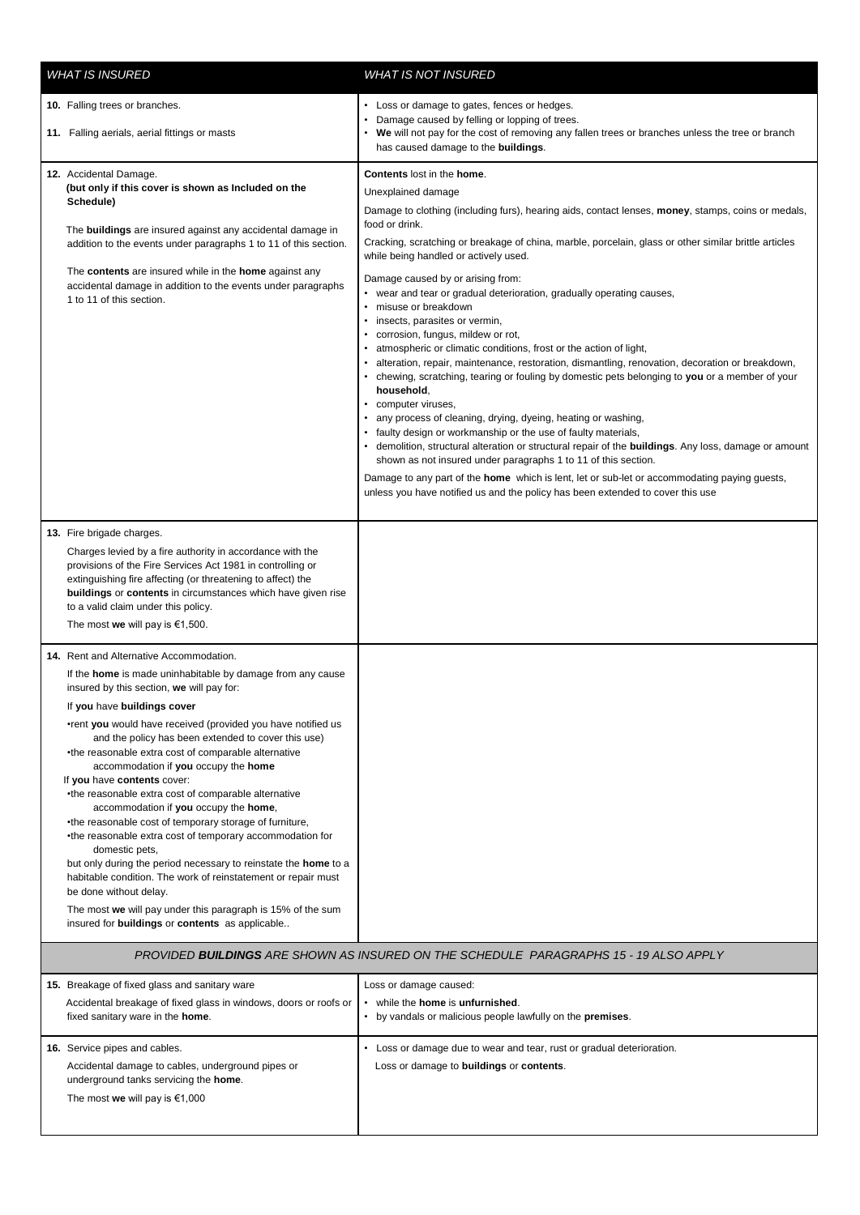| <b>WHAT IS INSURED</b>                                                                                                                                                                                                                                                                                                                                                                                                                                                                                                                                                                                                                                                                                                                                                                                                                                                                                                                                                           | <i>WHAT IS NOT INSURED</i>                                                                                                                                                                                                                                                                                                                                                                                                                                                                                                                                                                                                                                                                                                                                                                                                                                                                                                                                                                                                                                                                                                                                                        |  |
|----------------------------------------------------------------------------------------------------------------------------------------------------------------------------------------------------------------------------------------------------------------------------------------------------------------------------------------------------------------------------------------------------------------------------------------------------------------------------------------------------------------------------------------------------------------------------------------------------------------------------------------------------------------------------------------------------------------------------------------------------------------------------------------------------------------------------------------------------------------------------------------------------------------------------------------------------------------------------------|-----------------------------------------------------------------------------------------------------------------------------------------------------------------------------------------------------------------------------------------------------------------------------------------------------------------------------------------------------------------------------------------------------------------------------------------------------------------------------------------------------------------------------------------------------------------------------------------------------------------------------------------------------------------------------------------------------------------------------------------------------------------------------------------------------------------------------------------------------------------------------------------------------------------------------------------------------------------------------------------------------------------------------------------------------------------------------------------------------------------------------------------------------------------------------------|--|
| 10. Falling trees or branches.                                                                                                                                                                                                                                                                                                                                                                                                                                                                                                                                                                                                                                                                                                                                                                                                                                                                                                                                                   | Loss or damage to gates, fences or hedges.<br>Damage caused by felling or lopping of trees.                                                                                                                                                                                                                                                                                                                                                                                                                                                                                                                                                                                                                                                                                                                                                                                                                                                                                                                                                                                                                                                                                       |  |
| 11. Falling aerials, aerial fittings or masts                                                                                                                                                                                                                                                                                                                                                                                                                                                                                                                                                                                                                                                                                                                                                                                                                                                                                                                                    | We will not pay for the cost of removing any fallen trees or branches unless the tree or branch<br>has caused damage to the buildings.                                                                                                                                                                                                                                                                                                                                                                                                                                                                                                                                                                                                                                                                                                                                                                                                                                                                                                                                                                                                                                            |  |
| 12. Accidental Damage.<br>(but only if this cover is shown as Included on the<br>Schedule)<br>The <b>buildings</b> are insured against any accidental damage in<br>addition to the events under paragraphs 1 to 11 of this section.<br>The contents are insured while in the home against any<br>accidental damage in addition to the events under paragraphs<br>1 to 11 of this section.                                                                                                                                                                                                                                                                                                                                                                                                                                                                                                                                                                                        | <b>Contents lost in the home.</b><br>Unexplained damage<br>Damage to clothing (including furs), hearing aids, contact lenses, <b>money</b> , stamps, coins or medals,<br>food or drink.<br>Cracking, scratching or breakage of china, marble, porcelain, glass or other similar brittle articles<br>while being handled or actively used.<br>Damage caused by or arising from:<br>wear and tear or gradual deterioration, gradually operating causes,<br>misuse or breakdown<br>insects, parasites or vermin,<br>corrosion, fungus, mildew or rot,<br>atmospheric or climatic conditions, frost or the action of light,<br>alteration, repair, maintenance, restoration, dismantling, renovation, decoration or breakdown,<br>• chewing, scratching, tearing or fouling by domestic pets belonging to you or a member of your<br>household,<br>computer viruses,<br>any process of cleaning, drying, dyeing, heating or washing,<br>faulty design or workmanship or the use of faulty materials,<br>demolition, structural alteration or structural repair of the <b>buildings</b> . Any loss, damage or amount<br>shown as not insured under paragraphs 1 to 11 of this section. |  |
|                                                                                                                                                                                                                                                                                                                                                                                                                                                                                                                                                                                                                                                                                                                                                                                                                                                                                                                                                                                  | Damage to any part of the <b>home</b> which is lent, let or sub-let or accommodating paying guests,<br>unless you have notified us and the policy has been extended to cover this use                                                                                                                                                                                                                                                                                                                                                                                                                                                                                                                                                                                                                                                                                                                                                                                                                                                                                                                                                                                             |  |
| 13. Fire brigade charges.<br>Charges levied by a fire authority in accordance with the<br>provisions of the Fire Services Act 1981 in controlling or<br>extinguishing fire affecting (or threatening to affect) the<br>buildings or contents in circumstances which have given rise<br>to a valid claim under this policy.<br>The most we will pay is $€1,500$ .                                                                                                                                                                                                                                                                                                                                                                                                                                                                                                                                                                                                                 |                                                                                                                                                                                                                                                                                                                                                                                                                                                                                                                                                                                                                                                                                                                                                                                                                                                                                                                                                                                                                                                                                                                                                                                   |  |
| 14. Rent and Alternative Accommodation.<br>If the <b>home</b> is made uninhabitable by damage from any cause<br>insured by this section, we will pay for:<br>If you have buildings cover<br>•rent you would have received (provided you have notified us<br>and the policy has been extended to cover this use)<br>•the reasonable extra cost of comparable alternative<br>accommodation if you occupy the home<br>If you have contents cover:<br>•the reasonable extra cost of comparable alternative<br>accommodation if you occupy the home,<br>•the reasonable cost of temporary storage of furniture,<br>•the reasonable extra cost of temporary accommodation for<br>domestic pets,<br>but only during the period necessary to reinstate the <b>home</b> to a<br>habitable condition. The work of reinstatement or repair must<br>be done without delay.<br>The most we will pay under this paragraph is 15% of the sum<br>insured for buildings or contents as applicable |                                                                                                                                                                                                                                                                                                                                                                                                                                                                                                                                                                                                                                                                                                                                                                                                                                                                                                                                                                                                                                                                                                                                                                                   |  |
| PROVIDED BUILDINGS ARE SHOWN AS INSURED ON THE SCHEDULE PARAGRAPHS 15 - 19 ALSO APPLY                                                                                                                                                                                                                                                                                                                                                                                                                                                                                                                                                                                                                                                                                                                                                                                                                                                                                            |                                                                                                                                                                                                                                                                                                                                                                                                                                                                                                                                                                                                                                                                                                                                                                                                                                                                                                                                                                                                                                                                                                                                                                                   |  |
| 15. Breakage of fixed glass and sanitary ware<br>Accidental breakage of fixed glass in windows, doors or roofs or<br>fixed sanitary ware in the <b>home</b> .                                                                                                                                                                                                                                                                                                                                                                                                                                                                                                                                                                                                                                                                                                                                                                                                                    | Loss or damage caused:<br>while the home is unfurnished.<br>• by vandals or malicious people lawfully on the premises.                                                                                                                                                                                                                                                                                                                                                                                                                                                                                                                                                                                                                                                                                                                                                                                                                                                                                                                                                                                                                                                            |  |
| 16. Service pipes and cables.<br>Accidental damage to cables, underground pipes or<br>underground tanks servicing the home.<br>The most we will pay is $\epsilon$ 1,000                                                                                                                                                                                                                                                                                                                                                                                                                                                                                                                                                                                                                                                                                                                                                                                                          | Loss or damage due to wear and tear, rust or gradual deterioration.<br>Loss or damage to <b>buildings</b> or <b>contents</b> .                                                                                                                                                                                                                                                                                                                                                                                                                                                                                                                                                                                                                                                                                                                                                                                                                                                                                                                                                                                                                                                    |  |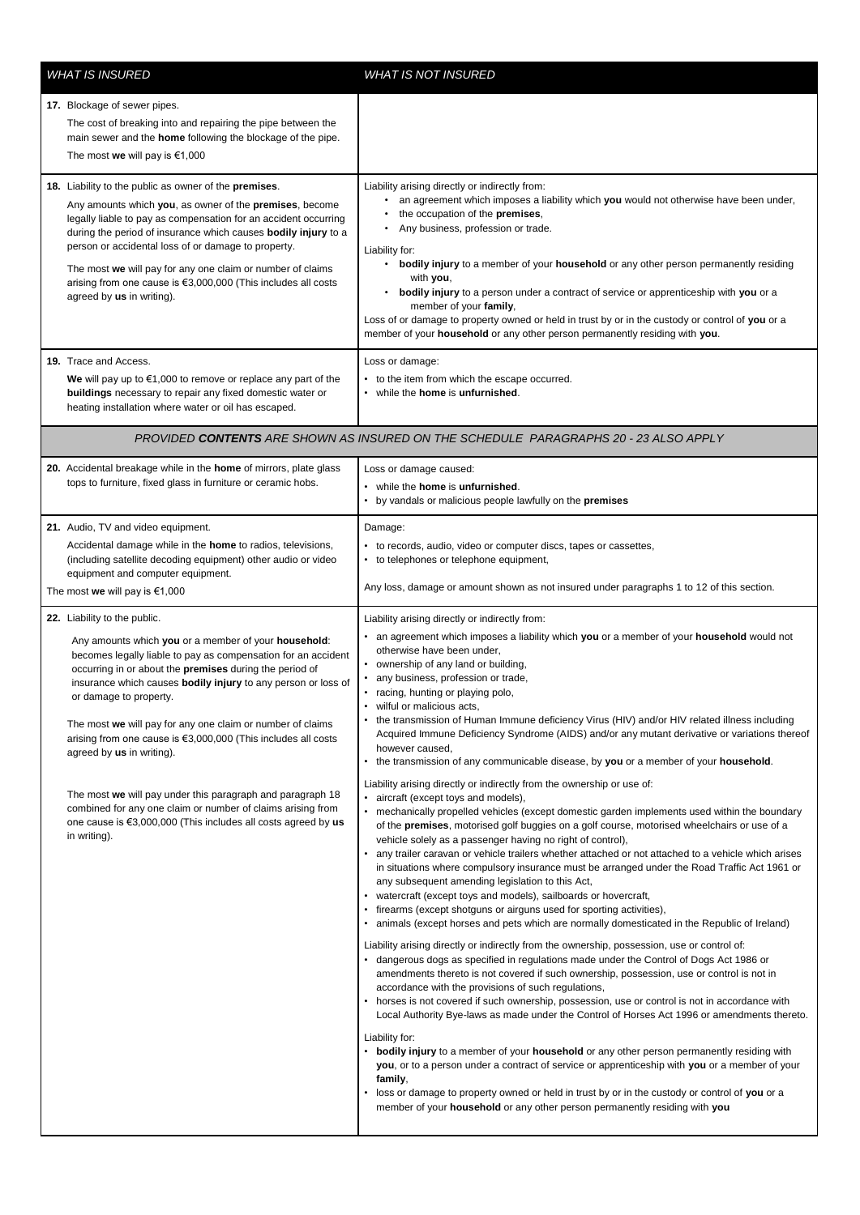| <b>WHAT IS INSURED</b> |                                                                                                                                                                                                                                                                                                                                                                                                                                                                                                                                                                                                                                                                                                   | <b>WHAT IS NOT INSURED</b>                                                                                                                                                                                                                                                                                                                                                                                                                                                                                                                                                                                                                                                                                                                                                                                                                                                                                                                                                                                                                                                                                                                                                                                                                                                                                                                                                                                                                                                                                                                                                                                                                                                                                                                                                                                                                                                                                                                                                                                                                                                                                                                                                                                                                                                                                                                                                                                                                                                               |  |  |
|------------------------|---------------------------------------------------------------------------------------------------------------------------------------------------------------------------------------------------------------------------------------------------------------------------------------------------------------------------------------------------------------------------------------------------------------------------------------------------------------------------------------------------------------------------------------------------------------------------------------------------------------------------------------------------------------------------------------------------|------------------------------------------------------------------------------------------------------------------------------------------------------------------------------------------------------------------------------------------------------------------------------------------------------------------------------------------------------------------------------------------------------------------------------------------------------------------------------------------------------------------------------------------------------------------------------------------------------------------------------------------------------------------------------------------------------------------------------------------------------------------------------------------------------------------------------------------------------------------------------------------------------------------------------------------------------------------------------------------------------------------------------------------------------------------------------------------------------------------------------------------------------------------------------------------------------------------------------------------------------------------------------------------------------------------------------------------------------------------------------------------------------------------------------------------------------------------------------------------------------------------------------------------------------------------------------------------------------------------------------------------------------------------------------------------------------------------------------------------------------------------------------------------------------------------------------------------------------------------------------------------------------------------------------------------------------------------------------------------------------------------------------------------------------------------------------------------------------------------------------------------------------------------------------------------------------------------------------------------------------------------------------------------------------------------------------------------------------------------------------------------------------------------------------------------------------------------------------------------|--|--|
|                        | 17. Blockage of sewer pipes.<br>The cost of breaking into and repairing the pipe between the<br>main sewer and the <b>home</b> following the blockage of the pipe.<br>The most we will pay is $€1,000$                                                                                                                                                                                                                                                                                                                                                                                                                                                                                            |                                                                                                                                                                                                                                                                                                                                                                                                                                                                                                                                                                                                                                                                                                                                                                                                                                                                                                                                                                                                                                                                                                                                                                                                                                                                                                                                                                                                                                                                                                                                                                                                                                                                                                                                                                                                                                                                                                                                                                                                                                                                                                                                                                                                                                                                                                                                                                                                                                                                                          |  |  |
|                        | 18. Liability to the public as owner of the premises.<br>Any amounts which you, as owner of the premises, become<br>legally liable to pay as compensation for an accident occurring<br>during the period of insurance which causes bodily injury to a<br>person or accidental loss of or damage to property.<br>The most we will pay for any one claim or number of claims<br>arising from one cause is €3,000,000 (This includes all costs<br>agreed by us in writing).                                                                                                                                                                                                                          | Liability arising directly or indirectly from:<br>• an agreement which imposes a liability which you would not otherwise have been under,<br>the occupation of the premises,<br>Any business, profession or trade.<br>$\bullet$<br>Liability for:<br>bodily injury to a member of your household or any other person permanently residing<br>$\bullet$<br>with you,<br><b>bodily injury</b> to a person under a contract of service or apprenticeship with you or a<br>٠<br>member of your family,<br>Loss of or damage to property owned or held in trust by or in the custody or control of you or a<br>member of your household or any other person permanently residing with you.                                                                                                                                                                                                                                                                                                                                                                                                                                                                                                                                                                                                                                                                                                                                                                                                                                                                                                                                                                                                                                                                                                                                                                                                                                                                                                                                                                                                                                                                                                                                                                                                                                                                                                                                                                                                    |  |  |
|                        | 19. Trace and Access.<br>We will pay up to $\epsilon$ 1,000 to remove or replace any part of the<br>buildings necessary to repair any fixed domestic water or<br>heating installation where water or oil has escaped.                                                                                                                                                                                                                                                                                                                                                                                                                                                                             | Loss or damage:<br>to the item from which the escape occurred.<br>while the <b>home</b> is <b>unfurnished</b> .<br>٠                                                                                                                                                                                                                                                                                                                                                                                                                                                                                                                                                                                                                                                                                                                                                                                                                                                                                                                                                                                                                                                                                                                                                                                                                                                                                                                                                                                                                                                                                                                                                                                                                                                                                                                                                                                                                                                                                                                                                                                                                                                                                                                                                                                                                                                                                                                                                                     |  |  |
|                        | PROVIDED CONTENTS ARE SHOWN AS INSURED ON THE SCHEDULE PARAGRAPHS 20 - 23 ALSO APPLY                                                                                                                                                                                                                                                                                                                                                                                                                                                                                                                                                                                                              |                                                                                                                                                                                                                                                                                                                                                                                                                                                                                                                                                                                                                                                                                                                                                                                                                                                                                                                                                                                                                                                                                                                                                                                                                                                                                                                                                                                                                                                                                                                                                                                                                                                                                                                                                                                                                                                                                                                                                                                                                                                                                                                                                                                                                                                                                                                                                                                                                                                                                          |  |  |
|                        | 20. Accidental breakage while in the home of mirrors, plate glass<br>tops to furniture, fixed glass in furniture or ceramic hobs.                                                                                                                                                                                                                                                                                                                                                                                                                                                                                                                                                                 | Loss or damage caused:<br>• while the home is unfurnished.<br>by vandals or malicious people lawfully on the premises                                                                                                                                                                                                                                                                                                                                                                                                                                                                                                                                                                                                                                                                                                                                                                                                                                                                                                                                                                                                                                                                                                                                                                                                                                                                                                                                                                                                                                                                                                                                                                                                                                                                                                                                                                                                                                                                                                                                                                                                                                                                                                                                                                                                                                                                                                                                                                    |  |  |
|                        | 21. Audio, TV and video equipment.<br>Accidental damage while in the home to radios, televisions,<br>(including satellite decoding equipment) other audio or video<br>equipment and computer equipment.<br>The most we will pay is $€1,000$                                                                                                                                                                                                                                                                                                                                                                                                                                                       | Damage:<br>to records, audio, video or computer discs, tapes or cassettes,<br>to telephones or telephone equipment,<br>٠<br>Any loss, damage or amount shown as not insured under paragraphs 1 to 12 of this section.                                                                                                                                                                                                                                                                                                                                                                                                                                                                                                                                                                                                                                                                                                                                                                                                                                                                                                                                                                                                                                                                                                                                                                                                                                                                                                                                                                                                                                                                                                                                                                                                                                                                                                                                                                                                                                                                                                                                                                                                                                                                                                                                                                                                                                                                    |  |  |
|                        | 22. Liability to the public.<br>Any amounts which you or a member of your household:<br>becomes legally liable to pay as compensation for an accident<br>occurring in or about the premises during the period of<br>insurance which causes bodily injury to any person or loss of<br>or damage to property.<br>The most we will pay for any one claim or number of claims<br>arising from one cause is $€3,000,000$ (This includes all costs<br>agreed by us in writing).<br>The most we will pay under this paragraph and paragraph 18<br>combined for any one claim or number of claims arising from<br>one cause is $\epsilon$ 3,000,000 (This includes all costs agreed by us<br>in writing). | Liability arising directly or indirectly from:<br>an agreement which imposes a liability which you or a member of your household would not<br>otherwise have been under,<br>• ownership of any land or building,<br>any business, profession or trade,<br>• racing, hunting or playing polo,<br>wilful or malicious acts,<br>the transmission of Human Immune deficiency Virus (HIV) and/or HIV related illness including<br>Acquired Immune Deficiency Syndrome (AIDS) and/or any mutant derivative or variations thereof<br>however caused,<br>• the transmission of any communicable disease, by you or a member of your household.<br>Liability arising directly or indirectly from the ownership or use of:<br>aircraft (except toys and models),<br>mechanically propelled vehicles (except domestic garden implements used within the boundary<br>of the <b>premises</b> , motorised golf buggies on a golf course, motorised wheelchairs or use of a<br>vehicle solely as a passenger having no right of control),<br>any trailer caravan or vehicle trailers whether attached or not attached to a vehicle which arises<br>in situations where compulsory insurance must be arranged under the Road Traffic Act 1961 or<br>any subsequent amending legislation to this Act,<br>watercraft (except toys and models), sailboards or hovercraft,<br>firearms (except shotguns or airguns used for sporting activities),<br>animals (except horses and pets which are normally domesticated in the Republic of Ireland)<br>Liability arising directly or indirectly from the ownership, possession, use or control of:<br>• dangerous dogs as specified in regulations made under the Control of Dogs Act 1986 or<br>amendments thereto is not covered if such ownership, possession, use or control is not in<br>accordance with the provisions of such regulations,<br>horses is not covered if such ownership, possession, use or control is not in accordance with<br>Local Authority Bye-laws as made under the Control of Horses Act 1996 or amendments thereto.<br>Liability for:<br>• bodily injury to a member of your household or any other person permanently residing with<br>you, or to a person under a contract of service or apprenticeship with you or a member of your<br>family,<br>loss or damage to property owned or held in trust by or in the custody or control of you or a<br>member of your household or any other person permanently residing with you |  |  |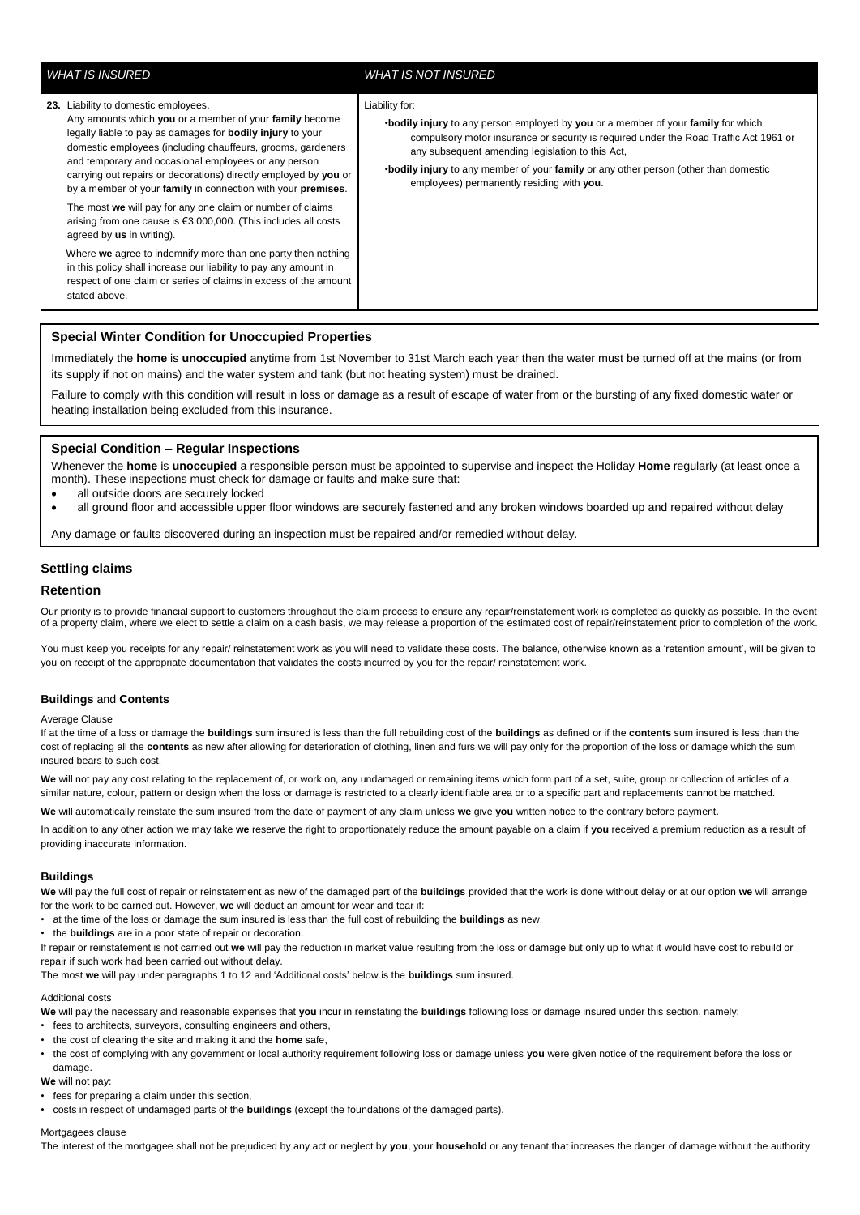**23.** Liability to domestic employees.

agreed by **us** in writing).

stated above.

# *WHAT IS INSURED WHAT IS NOT INSURED*

#### Liability for:

•**bodily injury** to any person employed by **you** or a member of your **family** for which compulsory motor insurance or security is required under the Road Traffic Act 1961 or any subsequent amending legislation to this Act,

•**bodily injury** to any member of your **family** or any other person (other than domestic employees) permanently residing with **you**.

**Special Winter Condition for Unoccupied Properties**

Any amounts which **you** or a member of your **family** become legally liable to pay as damages for **bodily injury** to your domestic employees (including chauffeurs, grooms, gardeners and temporary and occasional employees or any person carrying out repairs or decorations) directly employed by **you** or by a member of your **family** in connection with your **premises**. The most **we** will pay for any one claim or number of claims arising from one cause is €3,000,000. (This includes all costs

Immediately the **home** is **unoccupied** anytime from 1st November to 31st March each year then the water must be turned off at the mains (or from its supply if not on mains) and the water system and tank (but not heating system) must be drained.

Failure to comply with this condition will result in loss or damage as a result of escape of water from or the bursting of any fixed domestic water or heating installation being excluded from this insurance.

# **Special Condition – Regular Inspections**

Whenever the **home** is **unoccupied** a responsible person must be appointed to supervise and inspect the Holiday **Home** regularly (at least once a month). These inspections must check for damage or faults and make sure that:

all outside doors are securely locked

all ground floor and accessible upper floor windows are securely fastened and any broken windows boarded up and repaired without delay

Any damage or faults discovered during an inspection must be repaired and/or remedied without delay.

## **Settling claims**

#### **Retention**

Our priority is to provide financial support to customers throughout the claim process to ensure any repair/reinstatement work is completed as quickly as possible. In the event of a property claim, where we elect to settle a claim on a cash basis, we may release a proportion of the estimated cost of repair/reinstatement prior to completion of the work.

You must keep you receipts for any repair/ reinstatement work as you will need to validate these costs. The balance, otherwise known as a 'retention amount', will be given to you on receipt of the appropriate documentation that validates the costs incurred by you for the repair/ reinstatement work.

#### **Buildings** and **Contents**

#### Average Clause

If at the time of a loss or damage the **buildings** sum insured is less than the full rebuilding cost of the **buildings** as defined or if the **contents** sum insured is less than the cost of replacing all the **contents** as new after allowing for deterioration of clothing, linen and furs we will pay only for the proportion of the loss or damage which the sum insured bears to such cost.

We will not pay any cost relating to the replacement of, or work on, any undamaged or remaining items which form part of a set, suite, group or collection of articles of a similar nature, colour, pattern or design when the loss or damage is restricted to a clearly identifiable area or to a specific part and replacements cannot be matched.

**We** will automatically reinstate the sum insured from the date of payment of any claim unless **we** give **you** written notice to the contrary before payment.

In addition to any other action we may take **we** reserve the right to proportionately reduce the amount payable on a claim if **you** received a premium reduction as a result of providing inaccurate information.

#### **Buildings**

**We** will pay the full cost of repair or reinstatement as new of the damaged part of the **buildings** provided that the work is done without delay or at our option **we** will arrange for the work to be carried out. However, **we** will deduct an amount for wear and tear if:

- at the time of the loss or damage the sum insured is less than the full cost of rebuilding the **buildings** as new,
- the **buildings** are in a poor state of repair or decoration.

If repair or reinstatement is not carried out **we** will pay the reduction in market value resulting from the loss or damage but only up to what it would have cost to rebuild or repair if such work had been carried out without delay.

The most **we** will pay under paragraphs 1 to 12 and 'Additional costs' below is the **buildings** sum insured.

#### Additional costs

**We** will pay the necessary and reasonable expenses that **you** incur in reinstating the **buildings** following loss or damage insured under this section, namely:

- fees to architects, surveyors, consulting engineers and others,
- the cost of clearing the site and making it and the **home** safe,

• the cost of complying with any government or local authority requirement following loss or damage unless **you** were given notice of the requirement before the loss or damage.

**We** will not pay:

• fees for preparing a claim under this section,

• costs in respect of undamaged parts of the **buildings** (except the foundations of the damaged parts).

# Mortgagees clause

The interest of the mortgagee shall not be prejudiced by any act or neglect by **you**, your **household** or any tenant that increases the danger of damage without the authority

# Where **we** agree to indemnify more than one party then nothing in this policy shall increase our liability to pay any amount in respect of one claim or series of claims in excess of the amount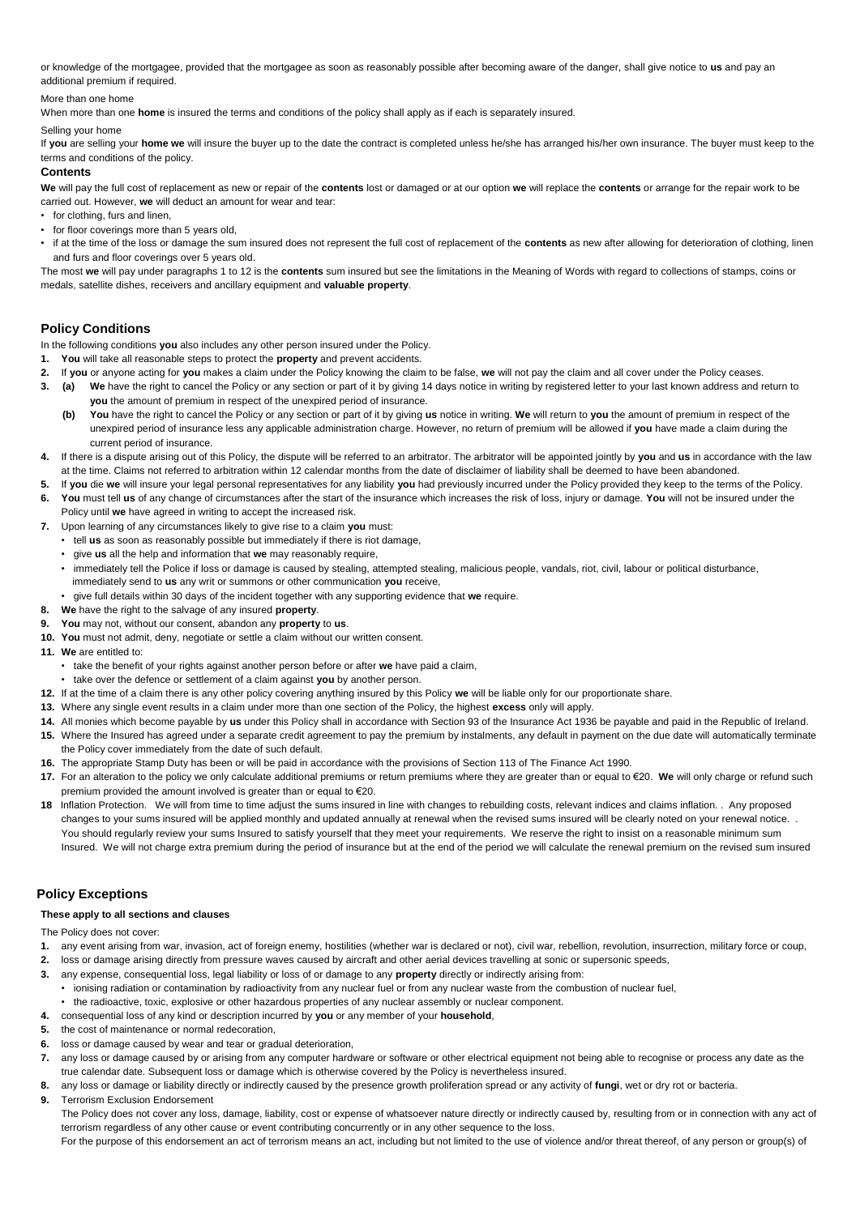or knowledge of the mortgagee, provided that the mortgagee as soon as reasonably possible after becoming aware of the danger, shall give notice to **us** and pay an additional premium if required.

# More than one home

When more than one **home** is insured the terms and conditions of the policy shall apply as if each is separately insured.

#### Selling your home

If **you** are selling your **home we** will insure the buyer up to the date the contract is completed unless he/she has arranged his/her own insurance. The buyer must keep to the terms and conditions of the policy.

#### **Contents**

**We** will pay the full cost of replacement as new or repair of the **contents** lost or damaged or at our option **we** will replace the **contents** or arrange for the repair work to be carried out. However, **we** will deduct an amount for wear and tear:

- for clothing, furs and linen.
- for floor coverings more than 5 years old,
- if at the time of the loss or damage the sum insured does not represent the full cost of replacement of the **contents** as new after allowing for deterioration of clothing, linen and furs and floor coverings over 5 years old.

The most **we** will pay under paragraphs 1 to 12 is the **contents** sum insured but see the limitations in the Meaning of Words with regard to collections of stamps, coins or medals, satellite dishes, receivers and ancillary equipment and **valuable property**.

# **Policy Conditions**

- In the following conditions **you** also includes any other person insured under the Policy.
- **1. You** will take all reasonable steps to protect the **property** and prevent accidents.
- **2.** If **you** or anyone acting for **you** makes a claim under the Policy knowing the claim to be false, **we** will not pay the claim and all cover under the Policy ceases.
- **3. (a) We** have the right to cancel the Policy or any section or part of it by giving 14 days notice in writing by registered letter to your last known address and return to **you** the amount of premium in respect of the unexpired period of insurance.
	- **(b) You** have the right to cancel the Policy or any section or part of it by giving **us** notice in writing. **We** will return to **you** the amount of premium in respect of the unexpired period of insurance less any applicable administration charge. However, no return of premium will be allowed if **you** have made a claim during the current period of insurance.
- **4.** If there is a dispute arising out of this Policy, the dispute will be referred to an arbitrator. The arbitrator will be appointed jointly by **you** and **us** in accordance with the law at the time. Claims not referred to arbitration within 12 calendar months from the date of disclaimer of liability shall be deemed to have been abandoned.
- **5.** If **you** die **we** will insure your legal personal representatives for any liability **you** had previously incurred under the Policy provided they keep to the terms of the Policy.
- **6. You** must tell **us** of any change of circumstances after the start of the insurance which increases the risk of loss, injury or damage. **You** will not be insured under the
- Policy until **we** have agreed in writing to accept the increased risk.
- **7.** Upon learning of any circumstances likely to give rise to a claim **you** must:
	- tell **us** as soon as reasonably possible but immediately if there is riot damage,
	- give **us** all the help and information that **we** may reasonably require,
	- immediately tell the Police if loss or damage is caused by stealing, attempted stealing, malicious people, vandals, riot, civil, labour or political disturbance, immediately send to **us** any writ or summons or other communication **you** receive,
	- give full details within 30 days of the incident together with any supporting evidence that **we** require.
- **8. We** have the right to the salvage of any insured **property**.
- **9. You** may not, without our consent, abandon any **property** to **us**.
- **10. You** must not admit, deny, negotiate or settle a claim without our written consent.
- **11. We** are entitled to:
	- take the benefit of your rights against another person before or after **we** have paid a claim,
	- take over the defence or settlement of a claim against **you** by another person.
- **12.** If at the time of a claim there is any other policy covering anything insured by this Policy **we** will be liable only for our proportionate share.
- **13.** Where any single event results in a claim under more than one section of the Policy, the highest **excess** only will apply.
- **14.** All monies which become payable by **us** under this Policy shall in accordance with Section 93 of the Insurance Act 1936 be payable and paid in the Republic of Ireland.
- **15.** Where the Insured has agreed under a separate credit agreement to pay the premium by instalments, any default in payment on the due date will automatically terminate the Policy cover immediately from the date of such default.
- **16.** The appropriate Stamp Duty has been or will be paid in accordance with the provisions of Section 113 of The Finance Act 1990.
- **17.** For an alteration to the policy we only calculate additional premiums or return premiums where they are greater than or equal to €20. **We** will only charge or refund such premium provided the amount involved is greater than or equal to  $\epsilon$ 20.
- **18** Inflation Protection. We will from time to time adjust the sums insured in line with changes to rebuilding costs, relevant indices and claims inflation. . Any proposed changes to your sums insured will be applied monthly and updated annually at renewal when the revised sums insured will be clearly noted on your renewal notice. . You should regularly review your sums Insured to satisfy yourself that they meet your requirements. We reserve the right to insist on a reasonable minimum sum Insured. We will not charge extra premium during the period of insurance but at the end of the period we will calculate the renewal premium on the revised sum insured

# **Policy Exceptions**

#### **These apply to all sections and clauses**

The Policy does not cover:

- **1.** any event arising from war, invasion, act of foreign enemy, hostilities (whether war is declared or not), civil war, rebellion, revolution, insurrection, military force or coup,
- **2.** loss or damage arising directly from pressure waves caused by aircraft and other aerial devices travelling at sonic or supersonic speeds,
- **3.** any expense, consequential loss, legal liability or loss of or damage to any **property** directly or indirectly arising from:
	- ionising radiation or contamination by radioactivity from any nuclear fuel or from any nuclear waste from the combustion of nuclear fuel,
- the radioactive, toxic, explosive or other hazardous properties of any nuclear assembly or nuclear component.
- **4.** consequential loss of any kind or description incurred by **you** or any member of your **household**,
- **5.** the cost of maintenance or normal redecoration,
- **6.** loss or damage caused by wear and tear or gradual deterioration,
- **7.** any loss or damage caused by or arising from any computer hardware or software or other electrical equipment not being able to recognise or process any date as the true calendar date. Subsequent loss or damage which is otherwise covered by the Policy is nevertheless insured.
- **8.** any loss or damage or liability directly or indirectly caused by the presence growth proliferation spread or any activity of **fungi**, wet or dry rot or bacteria.
- **9.** Terrorism Exclusion Endorsement

The Policy does not cover any loss, damage, liability, cost or expense of whatsoever nature directly or indirectly caused by, resulting from or in connection with any act of terrorism regardless of any other cause or event contributing concurrently or in any other sequence to the loss.

For the purpose of this endorsement an act of terrorism means an act, including but not limited to the use of violence and/or threat thereof, of any person or group(s) of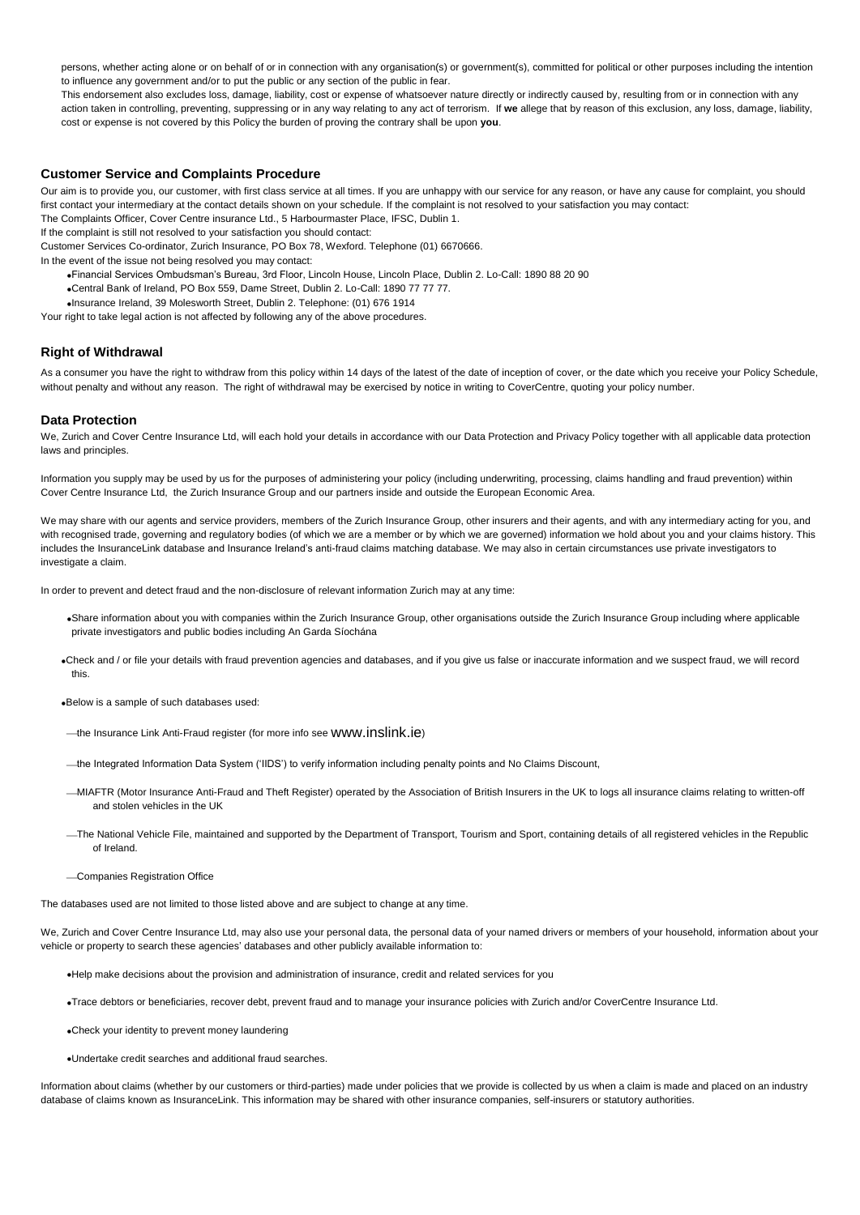persons, whether acting alone or on behalf of or in connection with any organisation(s) or government(s), committed for political or other purposes including the intention to influence any government and/or to put the public or any section of the public in fear.

This endorsement also excludes loss, damage, liability, cost or expense of whatsoever nature directly or indirectly caused by, resulting from or in connection with any action taken in controlling, preventing, suppressing or in any way relating to any act of terrorism. If **we** allege that by reason of this exclusion, any loss, damage, liability, cost or expense is not covered by this Policy the burden of proving the contrary shall be upon **you**.

# **Customer Service and Complaints Procedure**

Our aim is to provide you, our customer, with first class service at all times. If you are unhappy with our service for any reason, or have any cause for complaint, you should first contact your intermediary at the contact details shown on your schedule. If the complaint is not resolved to your satisfaction you may contact: The Complaints Officer, Cover Centre insurance Ltd., 5 Harbourmaster Place, IFSC, Dublin 1.

If the complaint is still not resolved to your satisfaction you should contact:

Customer Services Co-ordinator, Zurich Insurance, PO Box 78, Wexford. Telephone (01) 6670666.

In the event of the issue not being resolved you may contact:

- Financial Services Ombudsman's Bureau, 3rd Floor, Lincoln House, Lincoln Place, Dublin 2. Lo-Call: 1890 88 20 90
- Central Bank of Ireland, PO Box 559, Dame Street, Dublin 2. Lo-Call: 1890 77 77 77.
- Insurance Ireland, 39 Molesworth Street, Dublin 2. Telephone: (01) 676 1914

Your right to take legal action is not affected by following any of the above procedures.

# **Right of Withdrawal**

As a consumer you have the right to withdraw from this policy within 14 days of the latest of the date of inception of cover, or the date which you receive your Policy Schedule, without penalty and without any reason. The right of withdrawal may be exercised by notice in writing to CoverCentre, quoting your policy number.

#### **Data Protection**

We, Zurich and Cover Centre Insurance Ltd, will each hold your details in accordance with our Data Protection and Privacy Policy together with all applicable data protection laws and principles.

Information you supply may be used by us for the purposes of administering your policy (including underwriting, processing, claims handling and fraud prevention) within Cover Centre Insurance Ltd, the Zurich Insurance Group and our partners inside and outside the European Economic Area.

We may share with our agents and service providers, members of the Zurich Insurance Group, other insurers and their agents, and with any intermediary acting for you, and with recognised trade, governing and regulatory bodies (of which we are a member or by which we are governed) information we hold about you and your claims history. This includes the InsuranceLink database and Insurance Ireland's anti-fraud claims matching database. We may also in certain circumstances use private investigators to investigate a claim.

In order to prevent and detect fraud and the non-disclosure of relevant information Zurich may at any time:

- Share information about you with companies within the Zurich Insurance Group, other organisations outside the Zurich Insurance Group including where applicable private investigators and public bodies including An Garda Síochána
- Check and / or file your details with fraud prevention agencies and databases, and if you give us false or inaccurate information and we suspect fraud, we will record this.
- Below is a sample of such databases used:
- -the Insurance Link Anti-Fraud register (for more info see [www.inslink.ie](http://www.inslink.ie/))
- the Integrated Information Data System ('IIDS') to verify information including penalty points and No Claims Discount,
- MIAFTR (Motor Insurance Anti-Fraud and Theft Register) operated by the Association of British Insurers in the UK to logs all insurance claims relating to written-off and stolen vehicles in the UK
- The National Vehicle File, maintained and supported by the Department of Transport, Tourism and Sport, containing details of all registered vehicles in the Republic of Ireland.
- Companies Registration Office

The databases used are not limited to those listed above and are subject to change at any time.

We, Zurich and Cover Centre Insurance Ltd, may also use your personal data, the personal data of your named drivers or members of your household, information about your vehicle or property to search these agencies' databases and other publicly available information to:

- Help make decisions about the provision and administration of insurance, credit and related services for you
- Trace debtors or beneficiaries, recover debt, prevent fraud and to manage your insurance policies with Zurich and/or CoverCentre Insurance Ltd.
- Check your identity to prevent money laundering
- Undertake credit searches and additional fraud searches.

Information about claims (whether by our customers or third-parties) made under policies that we provide is collected by us when a claim is made and placed on an industry database of claims known as InsuranceLink. This information may be shared with other insurance companies, self-insurers or statutory authorities.